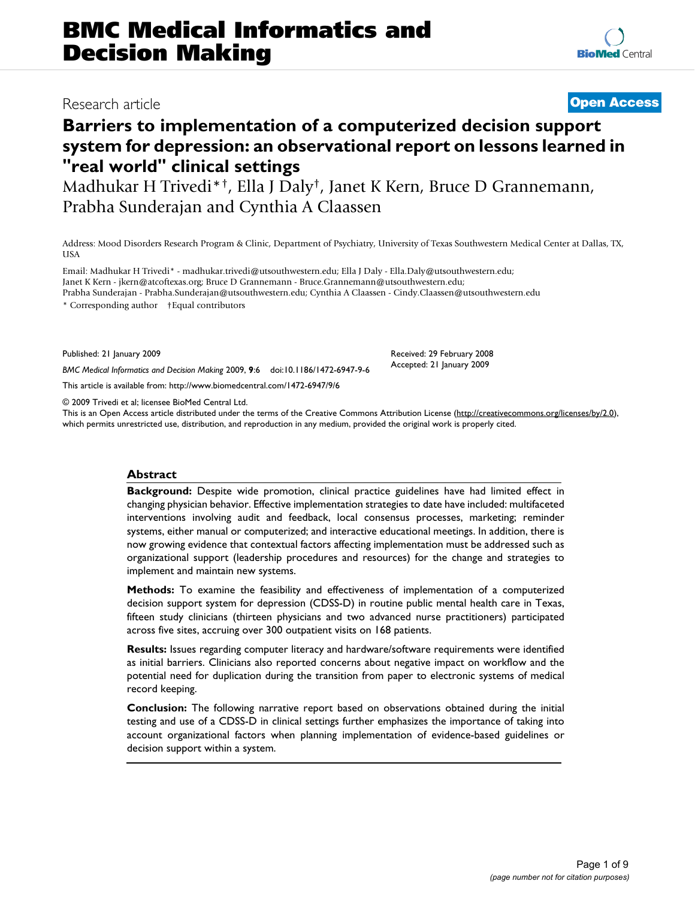## Research article **[Open Access](http://www.biomedcentral.com/info/about/charter/)**

# **Barriers to implementation of a computerized decision support system for depression: an observational report on lessons learned in "real world" clinical settings**

Madhukar H Trivedi\*†, Ella J Daly†, Janet K Kern, Bruce D Grannemann, Prabha Sunderajan and Cynthia A Claassen

Address: Mood Disorders Research Program & Clinic, Department of Psychiatry, University of Texas Southwestern Medical Center at Dallas, TX, **USA** 

Email: Madhukar H Trivedi\* - madhukar.trivedi@utsouthwestern.edu; Ella J Daly - Ella.Daly@utsouthwestern.edu; Janet K Kern - jkern@atcoftexas.org; Bruce D Grannemann - Bruce.Grannemann@utsouthwestern.edu; Prabha Sunderajan - Prabha.Sunderajan@utsouthwestern.edu; Cynthia A Claassen - Cindy.Claassen@utsouthwestern.edu

\* Corresponding author †Equal contributors

Published: 21 January 2009

*BMC Medical Informatics and Decision Making* 2009, **9**:6 doi:10.1186/1472-6947-9-6

[This article is available from: http://www.biomedcentral.com/1472-6947/9/6](http://www.biomedcentral.com/1472-6947/9/6)

© 2009 Trivedi et al; licensee BioMed Central Ltd.

This is an Open Access article distributed under the terms of the Creative Commons Attribution License [\(http://creativecommons.org/licenses/by/2.0\)](http://creativecommons.org/licenses/by/2.0), which permits unrestricted use, distribution, and reproduction in any medium, provided the original work is properly cited.

Received: 29 February 2008 Accepted: 21 January 2009

### **Abstract**

**Background:** Despite wide promotion, clinical practice guidelines have had limited effect in changing physician behavior. Effective implementation strategies to date have included: multifaceted interventions involving audit and feedback, local consensus processes, marketing; reminder systems, either manual or computerized; and interactive educational meetings. In addition, there is now growing evidence that contextual factors affecting implementation must be addressed such as organizational support (leadership procedures and resources) for the change and strategies to implement and maintain new systems.

**Methods:** To examine the feasibility and effectiveness of implementation of a computerized decision support system for depression (CDSS-D) in routine public mental health care in Texas, fifteen study clinicians (thirteen physicians and two advanced nurse practitioners) participated across five sites, accruing over 300 outpatient visits on 168 patients.

**Results:** Issues regarding computer literacy and hardware/software requirements were identified as initial barriers. Clinicians also reported concerns about negative impact on workflow and the potential need for duplication during the transition from paper to electronic systems of medical record keeping.

**Conclusion:** The following narrative report based on observations obtained during the initial testing and use of a CDSS-D in clinical settings further emphasizes the importance of taking into account organizational factors when planning implementation of evidence-based guidelines or decision support within a system.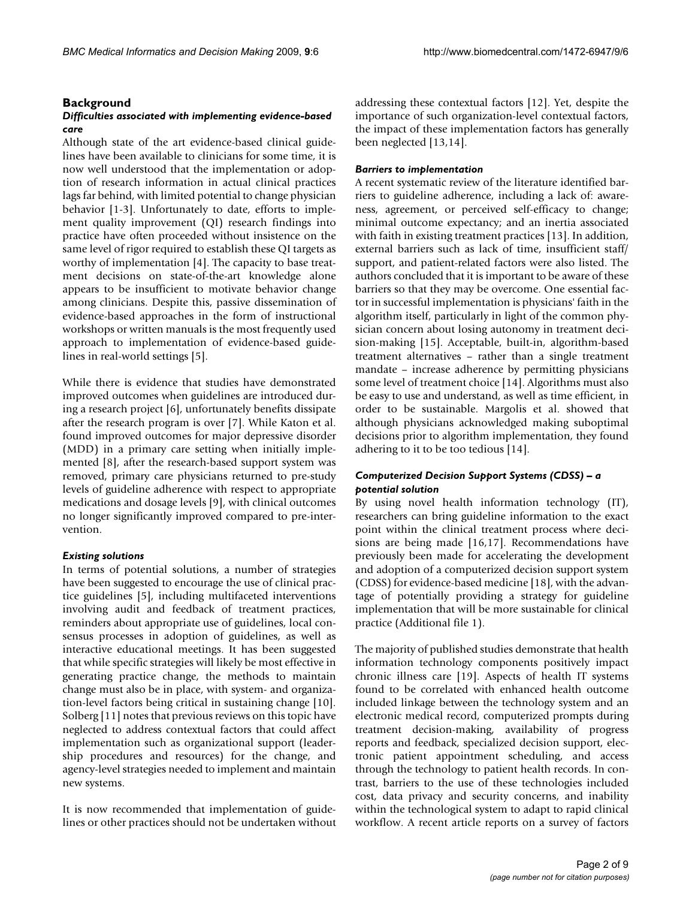#### **Background**

### *Difficulties associated with implementing evidence-based care*

Although state of the art evidence-based clinical guidelines have been available to clinicians for some time, it is now well understood that the implementation or adoption of research information in actual clinical practices lags far behind, with limited potential to change physician behavior [1-3]. Unfortunately to date, efforts to implement quality improvement (QI) research findings into practice have often proceeded without insistence on the same level of rigor required to establish these QI targets as worthy of implementation [4]. The capacity to base treatment decisions on state-of-the-art knowledge alone appears to be insufficient to motivate behavior change among clinicians. Despite this, passive dissemination of evidence-based approaches in the form of instructional workshops or written manuals is the most frequently used approach to implementation of evidence-based guidelines in real-world settings [5].

While there is evidence that studies have demonstrated improved outcomes when guidelines are introduced during a research project [6], unfortunately benefits dissipate after the research program is over [7]. While Katon et al. found improved outcomes for major depressive disorder (MDD) in a primary care setting when initially implemented [8], after the research-based support system was removed, primary care physicians returned to pre-study levels of guideline adherence with respect to appropriate medications and dosage levels [9], with clinical outcomes no longer significantly improved compared to pre-intervention.

#### *Existing solutions*

In terms of potential solutions, a number of strategies have been suggested to encourage the use of clinical practice guidelines [5], including multifaceted interventions involving audit and feedback of treatment practices, reminders about appropriate use of guidelines, local consensus processes in adoption of guidelines, as well as interactive educational meetings. It has been suggested that while specific strategies will likely be most effective in generating practice change, the methods to maintain change must also be in place, with system- and organization-level factors being critical in sustaining change [10]. Solberg [11] notes that previous reviews on this topic have neglected to address contextual factors that could affect implementation such as organizational support (leadership procedures and resources) for the change, and agency-level strategies needed to implement and maintain new systems.

It is now recommended that implementation of guidelines or other practices should not be undertaken without addressing these contextual factors [12]. Yet, despite the importance of such organization-level contextual factors, the impact of these implementation factors has generally been neglected [13,14].

#### *Barriers to implementation*

A recent systematic review of the literature identified barriers to guideline adherence, including a lack of: awareness, agreement, or perceived self-efficacy to change; minimal outcome expectancy; and an inertia associated with faith in existing treatment practices [13]. In addition, external barriers such as lack of time, insufficient staff/ support, and patient-related factors were also listed. The authors concluded that it is important to be aware of these barriers so that they may be overcome. One essential factor in successful implementation is physicians' faith in the algorithm itself, particularly in light of the common physician concern about losing autonomy in treatment decision-making [15]. Acceptable, built-in, algorithm-based treatment alternatives – rather than a single treatment mandate – increase adherence by permitting physicians some level of treatment choice [14]. Algorithms must also be easy to use and understand, as well as time efficient, in order to be sustainable. Margolis et al. showed that although physicians acknowledged making suboptimal decisions prior to algorithm implementation, they found adhering to it to be too tedious [14].

### *Computerized Decision Support Systems (CDSS) – a potential solution*

By using novel health information technology (IT), researchers can bring guideline information to the exact point within the clinical treatment process where decisions are being made [16,17]. Recommendations have previously been made for accelerating the development and adoption of a computerized decision support system (CDSS) for evidence-based medicine [18], with the advantage of potentially providing a strategy for guideline implementation that will be more sustainable for clinical practice (Additional file 1).

The majority of published studies demonstrate that health information technology components positively impact chronic illness care [19]. Aspects of health IT systems found to be correlated with enhanced health outcome included linkage between the technology system and an electronic medical record, computerized prompts during treatment decision-making, availability of progress reports and feedback, specialized decision support, electronic patient appointment scheduling, and access through the technology to patient health records. In contrast, barriers to the use of these technologies included cost, data privacy and security concerns, and inability within the technological system to adapt to rapid clinical workflow. A recent article reports on a survey of factors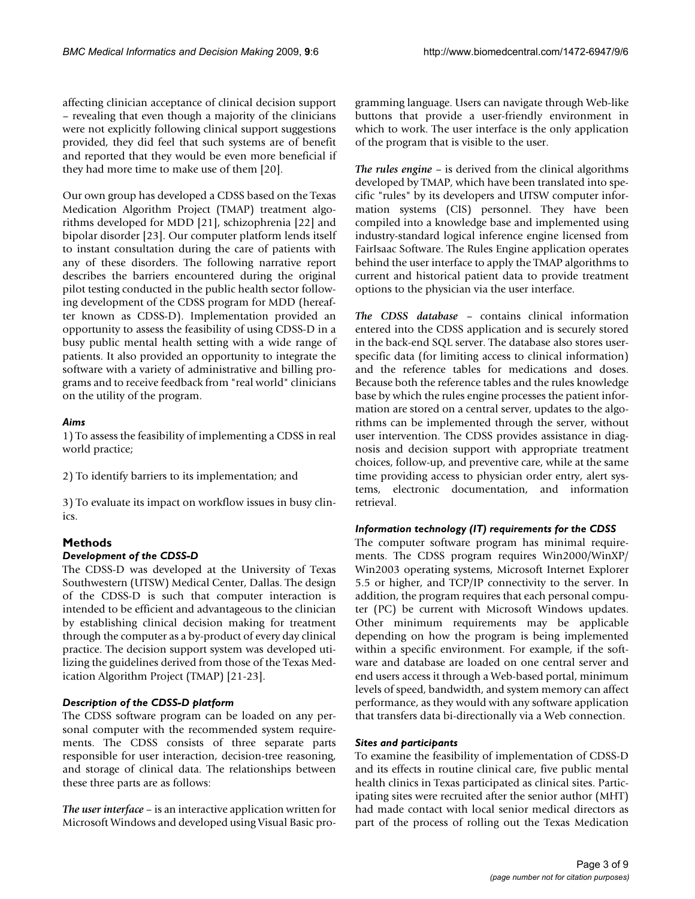affecting clinician acceptance of clinical decision support – revealing that even though a majority of the clinicians were not explicitly following clinical support suggestions provided, they did feel that such systems are of benefit and reported that they would be even more beneficial if they had more time to make use of them [20].

Our own group has developed a CDSS based on the Texas Medication Algorithm Project (TMAP) treatment algorithms developed for MDD [21], schizophrenia [22] and bipolar disorder [23]. Our computer platform lends itself to instant consultation during the care of patients with any of these disorders. The following narrative report describes the barriers encountered during the original pilot testing conducted in the public health sector following development of the CDSS program for MDD (hereafter known as CDSS-D). Implementation provided an opportunity to assess the feasibility of using CDSS-D in a busy public mental health setting with a wide range of patients. It also provided an opportunity to integrate the software with a variety of administrative and billing programs and to receive feedback from "real world" clinicians on the utility of the program.

### *Aims*

1) To assess the feasibility of implementing a CDSS in real world practice;

2) To identify barriers to its implementation; and

3) To evaluate its impact on workflow issues in busy clinics.

### **Methods**

### *Development of the CDSS-D*

The CDSS-D was developed at the University of Texas Southwestern (UTSW) Medical Center, Dallas. The design of the CDSS-D is such that computer interaction is intended to be efficient and advantageous to the clinician by establishing clinical decision making for treatment through the computer as a by-product of every day clinical practice. The decision support system was developed utilizing the guidelines derived from those of the Texas Medication Algorithm Project (TMAP) [21-23].

### *Description of the CDSS-D platform*

The CDSS software program can be loaded on any personal computer with the recommended system requirements. The CDSS consists of three separate parts responsible for user interaction, decision-tree reasoning, and storage of clinical data. The relationships between these three parts are as follows:

*The user interface* – is an interactive application written for Microsoft Windows and developed using Visual Basic programming language. Users can navigate through Web-like buttons that provide a user-friendly environment in which to work. The user interface is the only application of the program that is visible to the user.

*The rules engine* – is derived from the clinical algorithms developed by TMAP, which have been translated into specific "rules" by its developers and UTSW computer information systems (CIS) personnel. They have been compiled into a knowledge base and implemented using industry-standard logical inference engine licensed from FairIsaac Software. The Rules Engine application operates behind the user interface to apply the TMAP algorithms to current and historical patient data to provide treatment options to the physician via the user interface.

*The CDSS database* – contains clinical information entered into the CDSS application and is securely stored in the back-end SQL server. The database also stores userspecific data (for limiting access to clinical information) and the reference tables for medications and doses. Because both the reference tables and the rules knowledge base by which the rules engine processes the patient information are stored on a central server, updates to the algorithms can be implemented through the server, without user intervention. The CDSS provides assistance in diagnosis and decision support with appropriate treatment choices, follow-up, and preventive care, while at the same time providing access to physician order entry, alert systems, electronic documentation, and information retrieval.

### *Information technology (IT) requirements for the CDSS*

The computer software program has minimal requirements. The CDSS program requires Win2000/WinXP/ Win2003 operating systems, Microsoft Internet Explorer 5.5 or higher, and TCP/IP connectivity to the server. In addition, the program requires that each personal computer (PC) be current with Microsoft Windows updates. Other minimum requirements may be applicable depending on how the program is being implemented within a specific environment. For example, if the software and database are loaded on one central server and end users access it through a Web-based portal, minimum levels of speed, bandwidth, and system memory can affect performance, as they would with any software application that transfers data bi-directionally via a Web connection.

#### *Sites and participants*

To examine the feasibility of implementation of CDSS-D and its effects in routine clinical care, five public mental health clinics in Texas participated as clinical sites. Participating sites were recruited after the senior author (MHT) had made contact with local senior medical directors as part of the process of rolling out the Texas Medication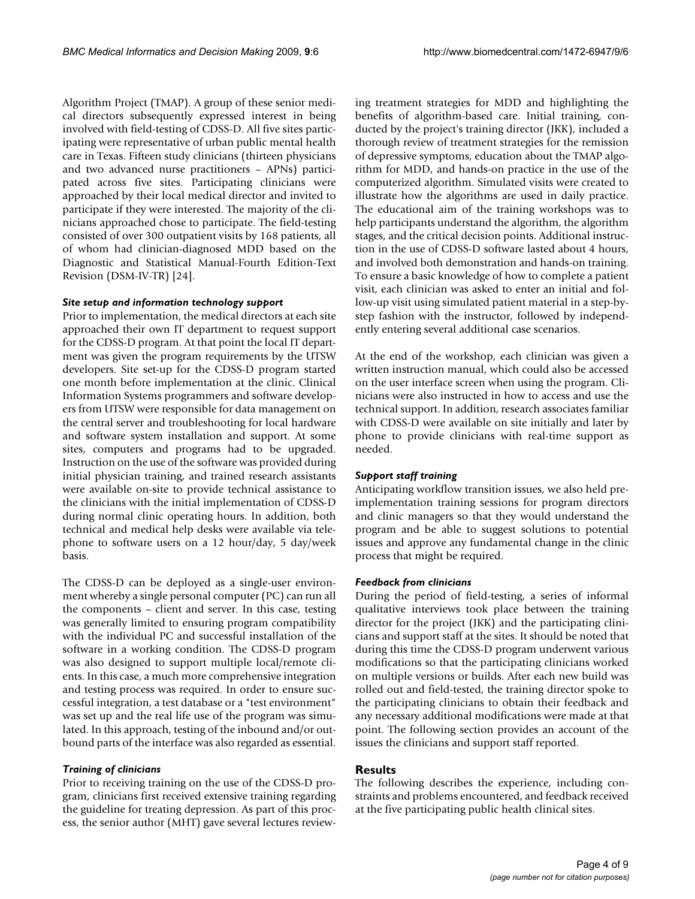Algorithm Project (TMAP). A group of these senior medical directors subsequently expressed interest in being involved with field-testing of CDSS-D. All five sites participating were representative of urban public mental health care in Texas. Fifteen study clinicians (thirteen physicians and two advanced nurse practitioners – APNs) participated across five sites. Participating clinicians were approached by their local medical director and invited to participate if they were interested. The majority of the clinicians approached chose to participate. The field-testing consisted of over 300 outpatient visits by 168 patients, all of whom had clinician-diagnosed MDD based on the Diagnostic and Statistical Manual-Fourth Edition-Text Revision (DSM-IV-TR) [24].

### *Site setup and information technology support*

Prior to implementation, the medical directors at each site approached their own IT department to request support for the CDSS-D program. At that point the local IT department was given the program requirements by the UTSW developers. Site set-up for the CDSS-D program started one month before implementation at the clinic. Clinical Information Systems programmers and software developers from UTSW were responsible for data management on the central server and troubleshooting for local hardware and software system installation and support. At some sites, computers and programs had to be upgraded. Instruction on the use of the software was provided during initial physician training, and trained research assistants were available on-site to provide technical assistance to the clinicians with the initial implementation of CDSS-D during normal clinic operating hours. In addition, both technical and medical help desks were available via telephone to software users on a 12 hour/day, 5 day/week basis.

The CDSS-D can be deployed as a single-user environment whereby a single personal computer (PC) can run all the components – client and server. In this case, testing was generally limited to ensuring program compatibility with the individual PC and successful installation of the software in a working condition. The CDSS-D program was also designed to support multiple local/remote clients. In this case, a much more comprehensive integration and testing process was required. In order to ensure successful integration, a test database or a "test environment" was set up and the real life use of the program was simulated. In this approach, testing of the inbound and/or outbound parts of the interface was also regarded as essential.

### *Training of clinicians*

Prior to receiving training on the use of the CDSS-D program, clinicians first received extensive training regarding the guideline for treating depression. As part of this process, the senior author (MHT) gave several lectures reviewing treatment strategies for MDD and highlighting the benefits of algorithm-based care. Initial training, conducted by the project's training director (JKK), included a thorough review of treatment strategies for the remission of depressive symptoms, education about the TMAP algorithm for MDD, and hands-on practice in the use of the computerized algorithm. Simulated visits were created to illustrate how the algorithms are used in daily practice. The educational aim of the training workshops was to help participants understand the algorithm, the algorithm stages, and the critical decision points. Additional instruction in the use of CDSS-D software lasted about 4 hours, and involved both demonstration and hands-on training. To ensure a basic knowledge of how to complete a patient visit, each clinician was asked to enter an initial and follow-up visit using simulated patient material in a step-bystep fashion with the instructor, followed by independently entering several additional case scenarios.

At the end of the workshop, each clinician was given a written instruction manual, which could also be accessed on the user interface screen when using the program. Clinicians were also instructed in how to access and use the technical support. In addition, research associates familiar with CDSS-D were available on site initially and later by phone to provide clinicians with real-time support as needed.

### *Support staff training*

Anticipating workflow transition issues, we also held preimplementation training sessions for program directors and clinic managers so that they would understand the program and be able to suggest solutions to potential issues and approve any fundamental change in the clinic process that might be required.

### *Feedback from clinicians*

During the period of field-testing, a series of informal qualitative interviews took place between the training director for the project (JKK) and the participating clinicians and support staff at the sites. It should be noted that during this time the CDSS-D program underwent various modifications so that the participating clinicians worked on multiple versions or builds. After each new build was rolled out and field-tested, the training director spoke to the participating clinicians to obtain their feedback and any necessary additional modifications were made at that point. The following section provides an account of the issues the clinicians and support staff reported.

### **Results**

The following describes the experience, including constraints and problems encountered, and feedback received at the five participating public health clinical sites.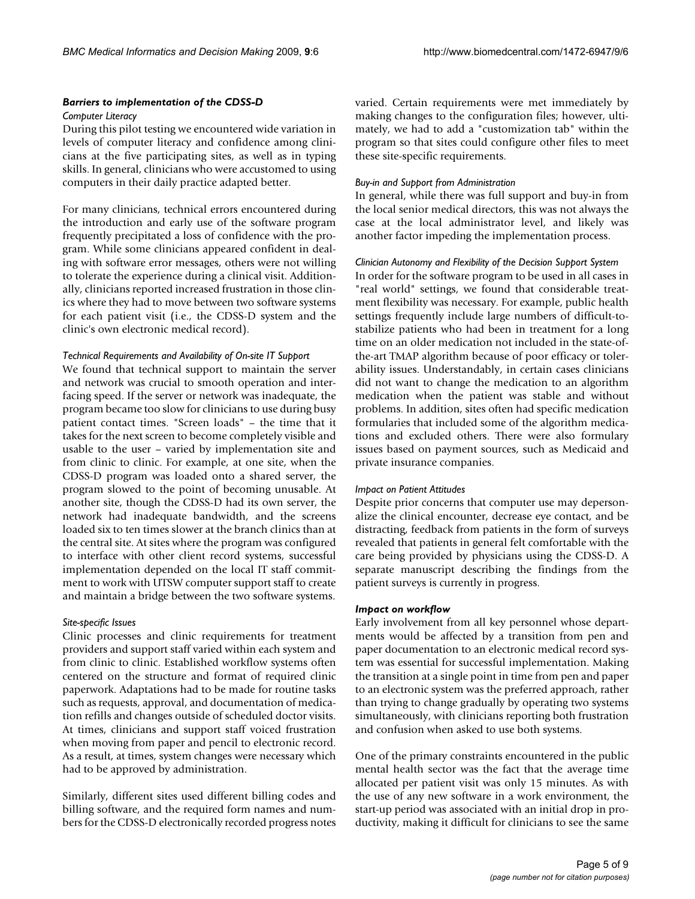#### *Barriers to implementation of the CDSS-D*

#### *Computer Literacy*

During this pilot testing we encountered wide variation in levels of computer literacy and confidence among clinicians at the five participating sites, as well as in typing skills. In general, clinicians who were accustomed to using computers in their daily practice adapted better.

For many clinicians, technical errors encountered during the introduction and early use of the software program frequently precipitated a loss of confidence with the program. While some clinicians appeared confident in dealing with software error messages, others were not willing to tolerate the experience during a clinical visit. Additionally, clinicians reported increased frustration in those clinics where they had to move between two software systems for each patient visit (i.e., the CDSS-D system and the clinic's own electronic medical record).

#### *Technical Requirements and Availability of On-site IT Support*

We found that technical support to maintain the server and network was crucial to smooth operation and interfacing speed. If the server or network was inadequate, the program became too slow for clinicians to use during busy patient contact times. "Screen loads" – the time that it takes for the next screen to become completely visible and usable to the user – varied by implementation site and from clinic to clinic. For example, at one site, when the CDSS-D program was loaded onto a shared server, the program slowed to the point of becoming unusable. At another site, though the CDSS-D had its own server, the network had inadequate bandwidth, and the screens loaded six to ten times slower at the branch clinics than at the central site. At sites where the program was configured to interface with other client record systems, successful implementation depended on the local IT staff commitment to work with UTSW computer support staff to create and maintain a bridge between the two software systems.

#### *Site-specific Issues*

Clinic processes and clinic requirements for treatment providers and support staff varied within each system and from clinic to clinic. Established workflow systems often centered on the structure and format of required clinic paperwork. Adaptations had to be made for routine tasks such as requests, approval, and documentation of medication refills and changes outside of scheduled doctor visits. At times, clinicians and support staff voiced frustration when moving from paper and pencil to electronic record. As a result, at times, system changes were necessary which had to be approved by administration.

Similarly, different sites used different billing codes and billing software, and the required form names and numbers for the CDSS-D electronically recorded progress notes varied. Certain requirements were met immediately by making changes to the configuration files; however, ultimately, we had to add a "customization tab" within the program so that sites could configure other files to meet these site-specific requirements.

#### *Buy-in and Support from Administration*

In general, while there was full support and buy-in from the local senior medical directors, this was not always the case at the local administrator level, and likely was another factor impeding the implementation process.

### *Clinician Autonomy and Flexibility of the Decision Support System*

In order for the software program to be used in all cases in "real world" settings, we found that considerable treatment flexibility was necessary. For example, public health settings frequently include large numbers of difficult-tostabilize patients who had been in treatment for a long time on an older medication not included in the state-ofthe-art TMAP algorithm because of poor efficacy or tolerability issues. Understandably, in certain cases clinicians did not want to change the medication to an algorithm medication when the patient was stable and without problems. In addition, sites often had specific medication formularies that included some of the algorithm medications and excluded others. There were also formulary issues based on payment sources, such as Medicaid and private insurance companies.

#### *Impact on Patient Attitudes*

Despite prior concerns that computer use may depersonalize the clinical encounter, decrease eye contact, and be distracting, feedback from patients in the form of surveys revealed that patients in general felt comfortable with the care being provided by physicians using the CDSS-D. A separate manuscript describing the findings from the patient surveys is currently in progress.

#### *Impact on workflow*

Early involvement from all key personnel whose departments would be affected by a transition from pen and paper documentation to an electronic medical record system was essential for successful implementation. Making the transition at a single point in time from pen and paper to an electronic system was the preferred approach, rather than trying to change gradually by operating two systems simultaneously, with clinicians reporting both frustration and confusion when asked to use both systems.

One of the primary constraints encountered in the public mental health sector was the fact that the average time allocated per patient visit was only 15 minutes. As with the use of any new software in a work environment, the start-up period was associated with an initial drop in productivity, making it difficult for clinicians to see the same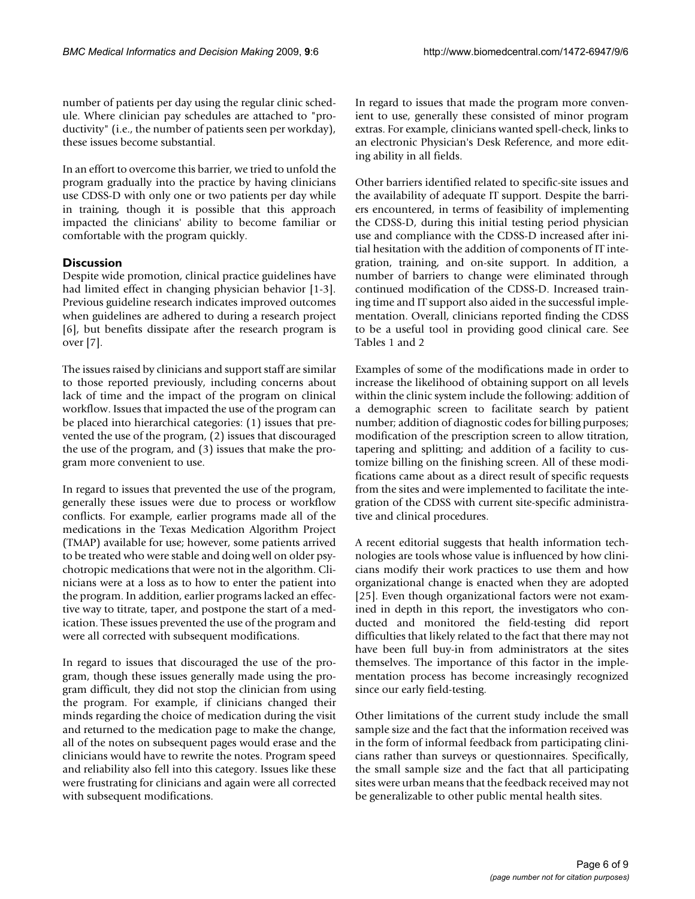number of patients per day using the regular clinic schedule. Where clinician pay schedules are attached to "productivity" (i.e., the number of patients seen per workday), these issues become substantial.

In an effort to overcome this barrier, we tried to unfold the program gradually into the practice by having clinicians use CDSS-D with only one or two patients per day while in training, though it is possible that this approach impacted the clinicians' ability to become familiar or comfortable with the program quickly.

### **Discussion**

Despite wide promotion, clinical practice guidelines have had limited effect in changing physician behavior [1-3]. Previous guideline research indicates improved outcomes when guidelines are adhered to during a research project [6], but benefits dissipate after the research program is over [7].

The issues raised by clinicians and support staff are similar to those reported previously, including concerns about lack of time and the impact of the program on clinical workflow. Issues that impacted the use of the program can be placed into hierarchical categories: (1) issues that prevented the use of the program, (2) issues that discouraged the use of the program, and (3) issues that make the program more convenient to use.

In regard to issues that prevented the use of the program, generally these issues were due to process or workflow conflicts. For example, earlier programs made all of the medications in the Texas Medication Algorithm Project (TMAP) available for use; however, some patients arrived to be treated who were stable and doing well on older psychotropic medications that were not in the algorithm. Clinicians were at a loss as to how to enter the patient into the program. In addition, earlier programs lacked an effective way to titrate, taper, and postpone the start of a medication. These issues prevented the use of the program and were all corrected with subsequent modifications.

In regard to issues that discouraged the use of the program, though these issues generally made using the program difficult, they did not stop the clinician from using the program. For example, if clinicians changed their minds regarding the choice of medication during the visit and returned to the medication page to make the change, all of the notes on subsequent pages would erase and the clinicians would have to rewrite the notes. Program speed and reliability also fell into this category. Issues like these were frustrating for clinicians and again were all corrected with subsequent modifications.

In regard to issues that made the program more convenient to use, generally these consisted of minor program extras. For example, clinicians wanted spell-check, links to an electronic Physician's Desk Reference, and more editing ability in all fields.

Other barriers identified related to specific-site issues and the availability of adequate IT support. Despite the barriers encountered, in terms of feasibility of implementing the CDSS-D, during this initial testing period physician use and compliance with the CDSS-D increased after initial hesitation with the addition of components of IT integration, training, and on-site support. In addition, a number of barriers to change were eliminated through continued modification of the CDSS-D. Increased training time and IT support also aided in the successful implementation. Overall, clinicians reported finding the CDSS to be a useful tool in providing good clinical care. See Tables 1 and 2

Examples of some of the modifications made in order to increase the likelihood of obtaining support on all levels within the clinic system include the following: addition of a demographic screen to facilitate search by patient number; addition of diagnostic codes for billing purposes; modification of the prescription screen to allow titration, tapering and splitting; and addition of a facility to customize billing on the finishing screen. All of these modifications came about as a direct result of specific requests from the sites and were implemented to facilitate the integration of the CDSS with current site-specific administrative and clinical procedures.

A recent editorial suggests that health information technologies are tools whose value is influenced by how clinicians modify their work practices to use them and how organizational change is enacted when they are adopted [25]. Even though organizational factors were not examined in depth in this report, the investigators who conducted and monitored the field-testing did report difficulties that likely related to the fact that there may not have been full buy-in from administrators at the sites themselves. The importance of this factor in the implementation process has become increasingly recognized since our early field-testing.

Other limitations of the current study include the small sample size and the fact that the information received was in the form of informal feedback from participating clinicians rather than surveys or questionnaires. Specifically, the small sample size and the fact that all participating sites were urban means that the feedback received may not be generalizable to other public mental health sites.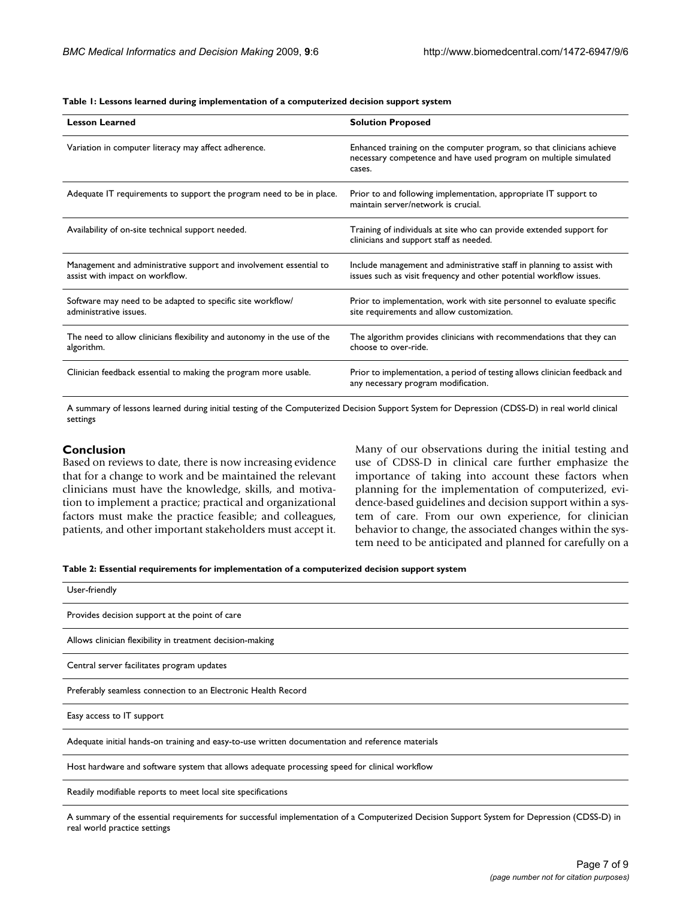**Table 1: Lessons learned during implementation of a computerized decision support system**

| <b>Lesson Learned</b>                                                                                 | <b>Solution Proposed</b>                                                                                                                            |
|-------------------------------------------------------------------------------------------------------|-----------------------------------------------------------------------------------------------------------------------------------------------------|
| Variation in computer literacy may affect adherence.                                                  | Enhanced training on the computer program, so that clinicians achieve<br>necessary competence and have used program on multiple simulated<br>cases. |
| Adequate IT requirements to support the program need to be in place.                                  | Prior to and following implementation, appropriate IT support to<br>maintain server/network is crucial.                                             |
| Availability of on-site technical support needed.                                                     | Training of individuals at site who can provide extended support for<br>clinicians and support staff as needed.                                     |
| Management and administrative support and involvement essential to<br>assist with impact on workflow. | Include management and administrative staff in planning to assist with<br>issues such as visit frequency and other potential workflow issues.       |
| Software may need to be adapted to specific site workflow/<br>administrative issues.                  | Prior to implementation, work with site personnel to evaluate specific<br>site requirements and allow customization.                                |
| The need to allow clinicians flexibility and autonomy in the use of the<br>algorithm.                 | The algorithm provides clinicians with recommendations that they can<br>choose to over-ride.                                                        |
| Clinician feedback essential to making the program more usable.                                       | Prior to implementation, a period of testing allows clinician feedback and<br>any necessary program modification.                                   |

A summary of lessons learned during initial testing of the Computerized Decision Support System for Depression (CDSS-D) in real world clinical settings

### **Conclusion**

Based on reviews to date, there is now increasing evidence that for a change to work and be maintained the relevant clinicians must have the knowledge, skills, and motivation to implement a practice; practical and organizational factors must make the practice feasible; and colleagues, patients, and other important stakeholders must accept it.

Many of our observations during the initial testing and use of CDSS-D in clinical care further emphasize the importance of taking into account these factors when planning for the implementation of computerized, evidence-based guidelines and decision support within a system of care. From our own experience, for clinician behavior to change, the associated changes within the system need to be anticipated and planned for carefully on a

| Table 2: Essential requirements for implementation of a computerized decision support system |  |
|----------------------------------------------------------------------------------------------|--|
|                                                                                              |  |

| User-friendly                                                                                    |  |
|--------------------------------------------------------------------------------------------------|--|
| Provides decision support at the point of care                                                   |  |
| Allows clinician flexibility in treatment decision-making                                        |  |
| Central server facilitates program updates                                                       |  |
| Preferably seamless connection to an Electronic Health Record                                    |  |
| Easy access to IT support                                                                        |  |
| Adequate initial hands-on training and easy-to-use written documentation and reference materials |  |
| Host hardware and software system that allows adequate processing speed for clinical workflow    |  |
| Readily modifiable reports to meet local site specifications                                     |  |

A summary of the essential requirements for successful implementation of a Computerized Decision Support System for Depression (CDSS-D) in real world practice settings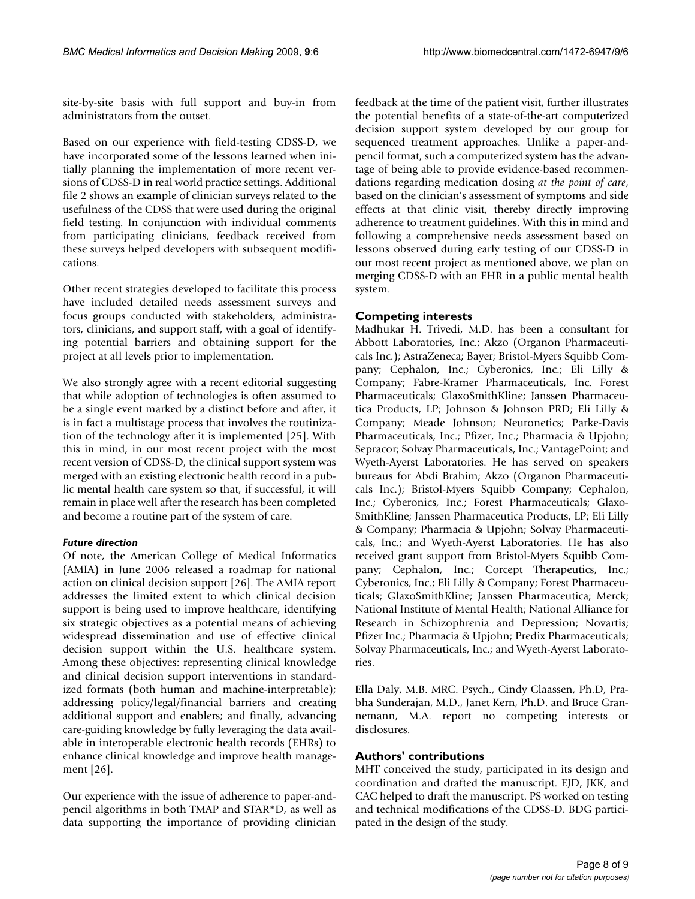site-by-site basis with full support and buy-in from administrators from the outset.

Based on our experience with field-testing CDSS-D, we have incorporated some of the lessons learned when initially planning the implementation of more recent versions of CDSS-D in real world practice settings. Additional file 2 shows an example of clinician surveys related to the usefulness of the CDSS that were used during the original field testing. In conjunction with individual comments from participating clinicians, feedback received from these surveys helped developers with subsequent modifications.

Other recent strategies developed to facilitate this process have included detailed needs assessment surveys and focus groups conducted with stakeholders, administrators, clinicians, and support staff, with a goal of identifying potential barriers and obtaining support for the project at all levels prior to implementation.

We also strongly agree with a recent editorial suggesting that while adoption of technologies is often assumed to be a single event marked by a distinct before and after, it is in fact a multistage process that involves the routinization of the technology after it is implemented [25]. With this in mind, in our most recent project with the most recent version of CDSS-D, the clinical support system was merged with an existing electronic health record in a public mental health care system so that, if successful, it will remain in place well after the research has been completed and become a routine part of the system of care.

### *Future direction*

Of note, the American College of Medical Informatics (AMIA) in June 2006 released a roadmap for national action on clinical decision support [26]. The AMIA report addresses the limited extent to which clinical decision support is being used to improve healthcare, identifying six strategic objectives as a potential means of achieving widespread dissemination and use of effective clinical decision support within the U.S. healthcare system. Among these objectives: representing clinical knowledge and clinical decision support interventions in standardized formats (both human and machine-interpretable); addressing policy/legal/financial barriers and creating additional support and enablers; and finally, advancing care-guiding knowledge by fully leveraging the data available in interoperable electronic health records (EHRs) to enhance clinical knowledge and improve health management [26].

Our experience with the issue of adherence to paper-andpencil algorithms in both TMAP and STAR\*D, as well as data supporting the importance of providing clinician

feedback at the time of the patient visit, further illustrates the potential benefits of a state-of-the-art computerized decision support system developed by our group for sequenced treatment approaches. Unlike a paper-andpencil format, such a computerized system has the advantage of being able to provide evidence-based recommendations regarding medication dosing *at the point of care*, based on the clinician's assessment of symptoms and side effects at that clinic visit, thereby directly improving adherence to treatment guidelines. With this in mind and following a comprehensive needs assessment based on lessons observed during early testing of our CDSS-D in our most recent project as mentioned above, we plan on merging CDSS-D with an EHR in a public mental health system.

### **Competing interests**

Madhukar H. Trivedi, M.D. has been a consultant for Abbott Laboratories, Inc.; Akzo (Organon Pharmaceuticals Inc.); AstraZeneca; Bayer; Bristol-Myers Squibb Company; Cephalon, Inc.; Cyberonics, Inc.; Eli Lilly & Company; Fabre-Kramer Pharmaceuticals, Inc. Forest Pharmaceuticals; GlaxoSmithKline; Janssen Pharmaceutica Products, LP; Johnson & Johnson PRD; Eli Lilly & Company; Meade Johnson; Neuronetics; Parke-Davis Pharmaceuticals, Inc.; Pfizer, Inc.; Pharmacia & Upjohn; Sepracor; Solvay Pharmaceuticals, Inc.; VantagePoint; and Wyeth-Ayerst Laboratories. He has served on speakers bureaus for Abdi Brahim; Akzo (Organon Pharmaceuticals Inc.); Bristol-Myers Squibb Company; Cephalon, Inc.; Cyberonics, Inc.; Forest Pharmaceuticals; Glaxo-SmithKline; Janssen Pharmaceutica Products, LP; Eli Lilly & Company; Pharmacia & Upjohn; Solvay Pharmaceuticals, Inc.; and Wyeth-Ayerst Laboratories. He has also received grant support from Bristol-Myers Squibb Company; Cephalon, Inc.; Corcept Therapeutics, Inc.; Cyberonics, Inc.; Eli Lilly & Company; Forest Pharmaceuticals; GlaxoSmithKline; Janssen Pharmaceutica; Merck; National Institute of Mental Health; National Alliance for Research in Schizophrenia and Depression; Novartis; Pfizer Inc.; Pharmacia & Upjohn; Predix Pharmaceuticals; Solvay Pharmaceuticals, Inc.; and Wyeth-Ayerst Laboratories.

Ella Daly, M.B. MRC. Psych., Cindy Claassen, Ph.D, Prabha Sunderajan, M.D., Janet Kern, Ph.D. and Bruce Grannemann, M.A. report no competing interests or disclosures.

### **Authors' contributions**

MHT conceived the study, participated in its design and coordination and drafted the manuscript. EJD, JKK, and CAC helped to draft the manuscript. PS worked on testing and technical modifications of the CDSS-D. BDG participated in the design of the study.